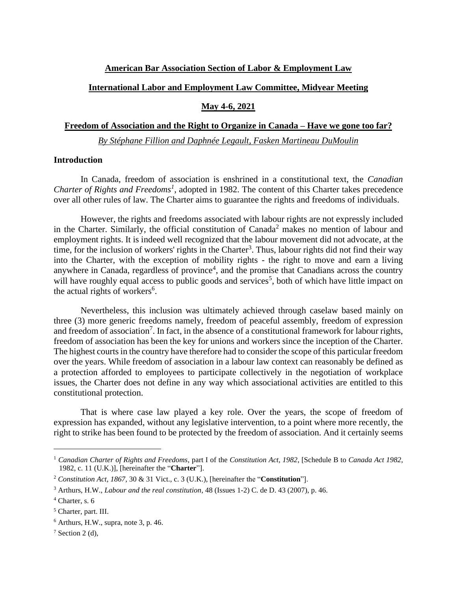#### **American Bar Association Section of Labor & Employment Law**

### **International Labor and Employment Law Committee, Midyear Meeting**

#### **May 4-6, 2021**

### **Freedom of Association and the Right to Organize in Canada – Have we gone too far?**

*By Stéphane Fillion and Daphnée Legault, Fasken Martineau DuMoulin*

# **Introduction**

In Canada, freedom of association is enshrined in a constitutional text, the *Canadian Charter of Rights and Freedoms<sup>1</sup>* , adopted in 1982. The content of this Charter takes precedence over all other rules of law. The Charter aims to guarantee the rights and freedoms of individuals.

However, the rights and freedoms associated with labour rights are not expressly included in the Charter. Similarly, the official constitution of Canada<sup>2</sup> makes no mention of labour and employment rights. It is indeed well recognized that the labour movement did not advocate, at the time, for the inclusion of workers' rights in the Charter<sup>3</sup>. Thus, labour rights did not find their way into the Charter, with the exception of mobility rights - the right to move and earn a living anywhere in Canada, regardless of province<sup>4</sup>, and the promise that Canadians across the country will have roughly equal access to public goods and services<sup>5</sup>, both of which have little impact on the actual rights of workers<sup>6</sup>.

Nevertheless, this inclusion was ultimately achieved through caselaw based mainly on three (3) more generic freedoms namely, freedom of peaceful assembly, freedom of expression and freedom of association<sup>7</sup>. In fact, in the absence of a constitutional framework for labour rights, freedom of association has been the key for unions and workers since the inception of the Charter. The highest courts in the country have therefore had to consider the scope of this particular freedom over the years. While freedom of association in a labour law context can reasonably be defined as a protection afforded to employees to participate collectively in the negotiation of workplace issues, the Charter does not define in any way which associational activities are entitled to this constitutional protection.

That is where case law played a key role. Over the years, the scope of freedom of expression has expanded, without any legislative intervention, to a point where more recently, the right to strike has been found to be protected by the freedom of association. And it certainly seems

<sup>1</sup> *Canadian Charter of Rights and Freedoms*, part I of the *Constitution Act, 1982*, [Schedule B to *Canada Act 1982*, 1982, c. 11 (U.K.)], [hereinafter the "**Charter**"].

<sup>2</sup> *Constitution Act, 1867*, 30 & 31 Vict., c. 3 (U.K.), [hereinafter the "**Constitution**"].

<sup>3</sup> Arthurs, H.W., *Labour and the real constitution*, 48 (Issues 1-2) C. de D. 43 (2007), p. 46.

 $4$  Charter, s. 6

<sup>5</sup> Charter, part. III.

 $6$  Arthurs, H.W., supra, note 3, p. 46.

 $7$  Section 2 (d),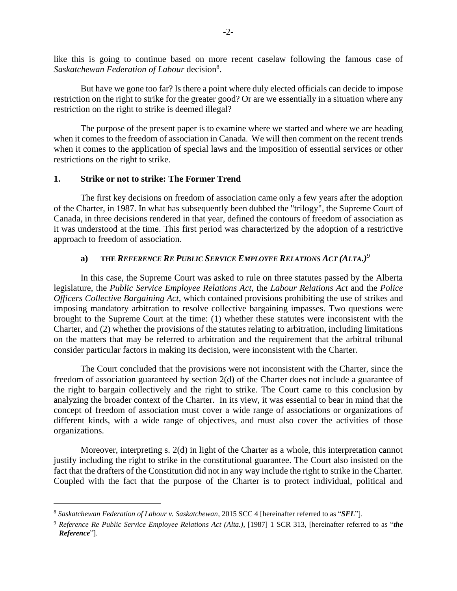like this is going to continue based on more recent caselaw following the famous case of Saskatchewan Federation of Labour decision<sup>8</sup>.

But have we gone too far? Is there a point where duly elected officials can decide to impose restriction on the right to strike for the greater good? Or are we essentially in a situation where any restriction on the right to strike is deemed illegal?

The purpose of the present paper is to examine where we started and where we are heading when it comes to the freedom of association in Canada. We will then comment on the recent trends when it comes to the application of special laws and the imposition of essential services or other restrictions on the right to strike.

#### **1. Strike or not to strike: The Former Trend**

The first key decisions on freedom of association came only a few years after the adoption of the Charter, in 1987. In what has subsequently been dubbed the "trilogy", the Supreme Court of Canada, in three decisions rendered in that year, defined the contours of freedom of association as it was understood at the time. This first period was characterized by the adoption of a restrictive approach to freedom of association.

## **a) THE** *REFERENCE RE PUBLIC SERVICE EMPLOYEE RELATIONS ACT (ALTA.)*<sup>9</sup>

In this case, the Supreme Court was asked to rule on three statutes passed by the Alberta legislature, the *Public Service Employee Relations Act*, the *Labour Relations Act* and the *Police Officers Collective Bargaining Act*, which contained provisions prohibiting the use of strikes and imposing mandatory arbitration to resolve collective bargaining impasses. Two questions were brought to the Supreme Court at the time: (1) whether these statutes were inconsistent with the Charter, and (2) whether the provisions of the statutes relating to arbitration, including limitations on the matters that may be referred to arbitration and the requirement that the arbitral tribunal consider particular factors in making its decision, were inconsistent with the Charter.

The Court concluded that the provisions were not inconsistent with the Charter, since the freedom of association guaranteed by section 2(d) of the Charter does not include a guarantee of the right to bargain collectively and the right to strike. The Court came to this conclusion by analyzing the broader context of the Charter. In its view, it was essential to bear in mind that the concept of freedom of association must cover a wide range of associations or organizations of different kinds, with a wide range of objectives, and must also cover the activities of those organizations.

Moreover, interpreting s. 2(d) in light of the Charter as a whole, this interpretation cannot justify including the right to strike in the constitutional guarantee. The Court also insisted on the fact that the drafters of the Constitution did not in any way include the right to strike in the Charter. Coupled with the fact that the purpose of the Charter is to protect individual, political and

<sup>8</sup> *Saskatchewan Federation of Labour v. Saskatchewan*, 2015 SCC 4 [hereinafter referred to as "*SFL*"].

<sup>9</sup> *Reference Re Public Service Employee Relations Act (Alta.)*, [1987] 1 SCR 313, [hereinafter referred to as "*the Reference*"].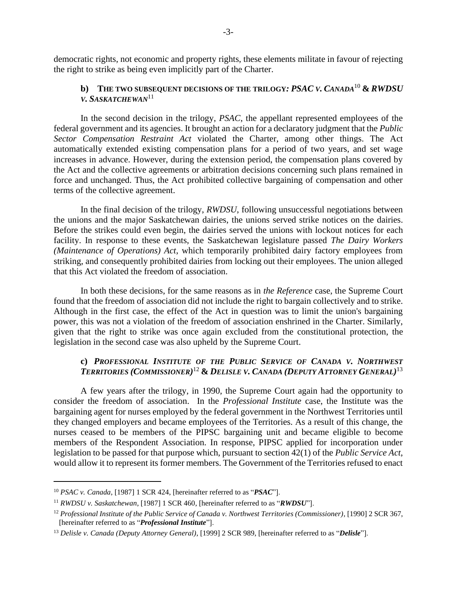democratic rights, not economic and property rights, these elements militate in favour of rejecting the right to strike as being even implicitly part of the Charter.

# **b) THE TWO SUBSEQUENT DECISIONS OF THE TRILOGY***: PSAC V. CANADA*<sup>10</sup> **&** *RWDSU V. SASKATCHEWAN*<sup>11</sup>

In the second decision in the trilogy, *PSAC*, the appellant represented employees of the federal government and its agencies. It brought an action for a declaratory judgment that the *Public Sector Compensation Restraint Act* violated the Charter, among other things. The Act automatically extended existing compensation plans for a period of two years, and set wage increases in advance. However, during the extension period, the compensation plans covered by the Act and the collective agreements or arbitration decisions concerning such plans remained in force and unchanged. Thus, the Act prohibited collective bargaining of compensation and other terms of the collective agreement.

In the final decision of the trilogy, *RWDSU*, following unsuccessful negotiations between the unions and the major Saskatchewan dairies, the unions served strike notices on the dairies. Before the strikes could even begin, the dairies served the unions with lockout notices for each facility. In response to these events, the Saskatchewan legislature passed *The Dairy Workers (Maintenance of Operations) Act*, which temporarily prohibited dairy factory employees from striking, and consequently prohibited dairies from locking out their employees. The union alleged that this Act violated the freedom of association.

In both these decisions, for the same reasons as in *the Reference* case, the Supreme Court found that the freedom of association did not include the right to bargain collectively and to strike. Although in the first case, the effect of the Act in question was to limit the union's bargaining power, this was not a violation of the freedom of association enshrined in the Charter. Similarly, given that the right to strike was once again excluded from the constitutional protection, the legislation in the second case was also upheld by the Supreme Court.

# **c)** *PROFESSIONAL INSTITUTE OF THE PUBLIC SERVICE OF CANADA V. NORTHWEST TERRITORIES (COMMISSIONER)* <sup>12</sup> **&** *DELISLE V. CANADA (DEPUTY ATTORNEY GENERAL)* 13

A few years after the trilogy, in 1990, the Supreme Court again had the opportunity to consider the freedom of association. In the *Professional Institute* case, the Institute was the bargaining agent for nurses employed by the federal government in the Northwest Territories until they changed employers and became employees of the Territories. As a result of this change, the nurses ceased to be members of the PIPSC bargaining unit and became eligible to become members of the Respondent Association. In response, PIPSC applied for incorporation under legislation to be passed for that purpose which, pursuant to section 42(1) of the *Public Service Act*, would allow it to represent its former members. The Government of the Territories refused to enact

<sup>10</sup> *PSAC v. Canada*, [1987] 1 SCR 424, [hereinafter referred to as "*PSAC*"].

<sup>11</sup> *RWDSU v. Saskatchewan*, [1987] 1 SCR 460, [hereinafter referred to as "*RWDSU*"].

<sup>12</sup> *Professional Institute of the Public Service of Canada v. Northwest Territories (Commissioner)*, [1990] 2 SCR 367, [hereinafter referred to as "*Professional Institute*"].

<sup>13</sup> *Delisle v. Canada (Deputy Attorney General)*, [1999] 2 SCR 989, [hereinafter referred to as "*Delisle*"].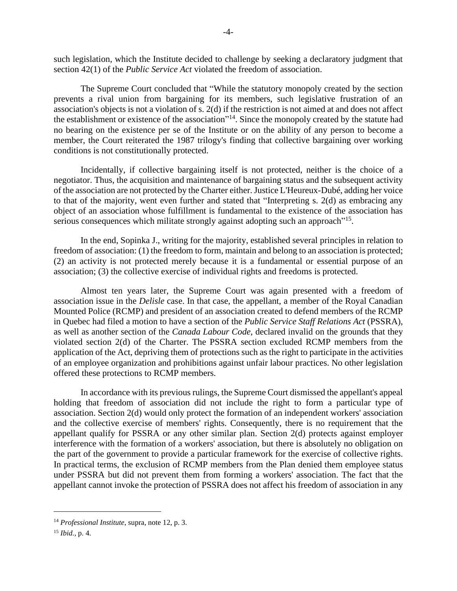such legislation, which the Institute decided to challenge by seeking a declaratory judgment that section 42(1) of the *Public Service Act* violated the freedom of association.

The Supreme Court concluded that "While the statutory monopoly created by the section prevents a rival union from bargaining for its members, such legislative frustration of an association's objects is not a violation of s. 2(d) if the restriction is not aimed at and does not affect the establishment or existence of the association"<sup>14</sup>. Since the monopoly created by the statute had no bearing on the existence per se of the Institute or on the ability of any person to become a member, the Court reiterated the 1987 trilogy's finding that collective bargaining over working conditions is not constitutionally protected.

Incidentally, if collective bargaining itself is not protected, neither is the choice of a negotiator. Thus, the acquisition and maintenance of bargaining status and the subsequent activity of the association are not protected by the Charter either. Justice L'Heureux-Dubé, adding her voice to that of the majority, went even further and stated that "Interpreting s. 2(d) as embracing any object of an association whose fulfillment is fundamental to the existence of the association has serious consequences which militate strongly against adopting such an approach"<sup>15</sup>.

In the end, Sopinka J., writing for the majority, established several principles in relation to freedom of association: (1) the freedom to form, maintain and belong to an association is protected; (2) an activity is not protected merely because it is a fundamental or essential purpose of an association; (3) the collective exercise of individual rights and freedoms is protected.

Almost ten years later, the Supreme Court was again presented with a freedom of association issue in the *Delisle* case. In that case, the appellant, a member of the Royal Canadian Mounted Police (RCMP) and president of an association created to defend members of the RCMP in Quebec had filed a motion to have a section of the *Public Service Staff Relations Act* (PSSRA), as well as another section of the *Canada Labour Code*, declared invalid on the grounds that they violated section 2(d) of the Charter. The PSSRA section excluded RCMP members from the application of the Act, depriving them of protections such as the right to participate in the activities of an employee organization and prohibitions against unfair labour practices. No other legislation offered these protections to RCMP members.

In accordance with its previous rulings, the Supreme Court dismissed the appellant's appeal holding that freedom of association did not include the right to form a particular type of association. Section 2(d) would only protect the formation of an independent workers' association and the collective exercise of members' rights. Consequently, there is no requirement that the appellant qualify for PSSRA or any other similar plan. Section 2(d) protects against employer interference with the formation of a workers' association, but there is absolutely no obligation on the part of the government to provide a particular framework for the exercise of collective rights. In practical terms, the exclusion of RCMP members from the Plan denied them employee status under PSSRA but did not prevent them from forming a workers' association. The fact that the appellant cannot invoke the protection of PSSRA does not affect his freedom of association in any

<sup>14</sup> *Professional Institute*, supra, note 12, p. 3.

<sup>15</sup> *Ibid.*, p. 4.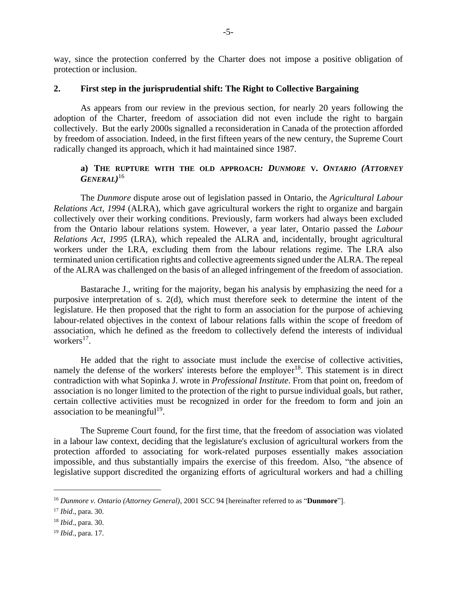way, since the protection conferred by the Charter does not impose a positive obligation of protection or inclusion.

#### **2. First step in the jurisprudential shift: The Right to Collective Bargaining**

As appears from our review in the previous section, for nearly 20 years following the adoption of the Charter, freedom of association did not even include the right to bargain collectively. But the early 2000s signalled a reconsideration in Canada of the protection afforded by freedom of association. Indeed, in the first fifteen years of the new century, the Supreme Court radically changed its approach, which it had maintained since 1987.

# **a) THE RUPTURE WITH THE OLD APPROACH***: DUNMORE* **V.** *ONTARIO (ATTORNEY GENERAL)* 16

The *Dunmore* dispute arose out of legislation passed in Ontario, the *Agricultural Labour Relations Act, 1994* (ALRA), which gave agricultural workers the right to organize and bargain collectively over their working conditions. Previously, farm workers had always been excluded from the Ontario labour relations system. However, a year later, Ontario passed the *Labour Relations Act, 1995* (LRA), which repealed the ALRA and, incidentally, brought agricultural workers under the LRA, excluding them from the labour relations regime. The LRA also terminated union certification rights and collective agreements signed under the ALRA. The repeal of the ALRA was challenged on the basis of an alleged infringement of the freedom of association.

Bastarache J., writing for the majority, began his analysis by emphasizing the need for a purposive interpretation of s. 2(d), which must therefore seek to determine the intent of the legislature. He then proposed that the right to form an association for the purpose of achieving labour-related objectives in the context of labour relations falls within the scope of freedom of association, which he defined as the freedom to collectively defend the interests of individual workers<sup>17</sup>.

He added that the right to associate must include the exercise of collective activities, namely the defense of the workers' interests before the employer<sup>18</sup>. This statement is in direct contradiction with what Sopinka J. wrote in *Professional Institute*. From that point on, freedom of association is no longer limited to the protection of the right to pursue individual goals, but rather, certain collective activities must be recognized in order for the freedom to form and join an association to be meaningful<sup>19</sup>.

The Supreme Court found, for the first time, that the freedom of association was violated in a labour law context, deciding that the legislature's exclusion of agricultural workers from the protection afforded to associating for work-related purposes essentially makes association impossible, and thus substantially impairs the exercise of this freedom. Also, "the absence of legislative support discredited the organizing efforts of agricultural workers and had a chilling

<sup>16</sup> *Dunmore v. Ontario (Attorney General)*, 2001 SCC 94 [hereinafter referred to as "**Dunmore**"].

<sup>17</sup> *Ibid*., para. 30.

<sup>18</sup> *Ibid*., para. 30.

<sup>19</sup> *Ibid*., para. 17.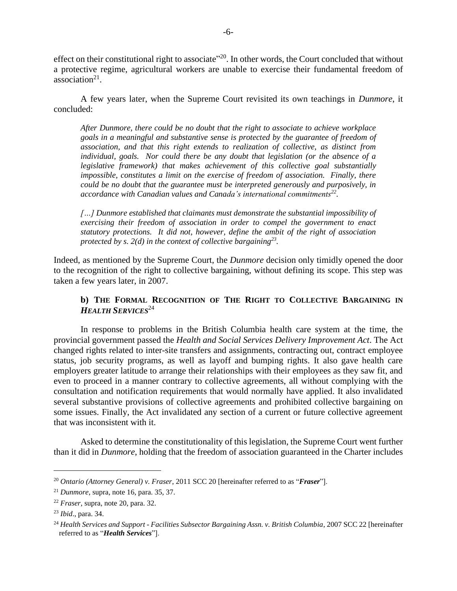effect on their constitutional right to associate"<sup>20</sup>. In other words, the Court concluded that without a protective regime, agricultural workers are unable to exercise their fundamental freedom of  $\arcsin^2$ .

A few years later, when the Supreme Court revisited its own teachings in *Dunmore*, it concluded:

*After Dunmore, there could be no doubt that the right to associate to achieve workplace goals in a meaningful and substantive sense is protected by the guarantee of freedom of association, and that this right extends to realization of collective, as distinct from individual, goals. Nor could there be any doubt that legislation (or the absence of a legislative framework) that makes achievement of this collective goal substantially impossible, constitutes a limit on the exercise of freedom of association. Finally, there could be no doubt that the guarantee must be interpreted generously and purposively, in accordance with Canadian values and Canada's international commitments<sup>22</sup> .*

*[…] Dunmore established that claimants must demonstrate the substantial impossibility of exercising their freedom of association in order to compel the government to enact statutory protections. It did not, however, define the ambit of the right of association protected by s. 2(d) in the context of collective bargaining<sup>23</sup> .*

Indeed, as mentioned by the Supreme Court, the *Dunmore* decision only timidly opened the door to the recognition of the right to collective bargaining, without defining its scope. This step was taken a few years later, in 2007.

# **b) THE FORMAL RECOGNITION OF THE RIGHT TO COLLECTIVE BARGAINING IN** *HEALTH SERVICES*<sup>24</sup>

In response to problems in the British Columbia health care system at the time, the provincial government passed the *Health and Social Services Delivery Improvement Act*. The Act changed rights related to inter-site transfers and assignments, contracting out, contract employee status, job security programs, as well as layoff and bumping rights. It also gave health care employers greater latitude to arrange their relationships with their employees as they saw fit, and even to proceed in a manner contrary to collective agreements, all without complying with the consultation and notification requirements that would normally have applied. It also invalidated several substantive provisions of collective agreements and prohibited collective bargaining on some issues. Finally, the Act invalidated any section of a current or future collective agreement that was inconsistent with it.

Asked to determine the constitutionality of this legislation, the Supreme Court went further than it did in *Dunmore*, holding that the freedom of association guaranteed in the Charter includes

<sup>20</sup> *Ontario (Attorney General) v. Fraser*, 2011 SCC 20 [hereinafter referred to as "*Fraser*"].

<sup>21</sup> *Dunmore*, supra, note 16, para. 35, 37.

<sup>22</sup> *Fraser*, supra, note 20, para. 32.

<sup>23</sup> *Ibid*., para. 34.

<sup>24</sup> *Health Services and Support - Facilities Subsector Bargaining Assn. v. British Columbia*, 2007 SCC 22 [hereinafter referred to as "*Health Services*"].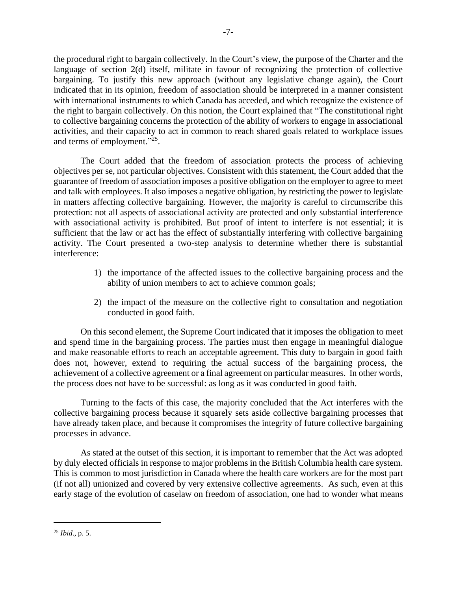the procedural right to bargain collectively. In the Court's view, the purpose of the Charter and the language of section 2(d) itself, militate in favour of recognizing the protection of collective bargaining. To justify this new approach (without any legislative change again), the Court indicated that in its opinion, freedom of association should be interpreted in a manner consistent with international instruments to which Canada has acceded, and which recognize the existence of the right to bargain collectively. On this notion, the Court explained that "The constitutional right to collective bargaining concerns the protection of the ability of workers to engage in associational activities, and their capacity to act in common to reach shared goals related to workplace issues and terms of employment."<sup>25</sup>.

The Court added that the freedom of association protects the process of achieving objectives per se, not particular objectives. Consistent with this statement, the Court added that the guarantee of freedom of association imposes a positive obligation on the employer to agree to meet and talk with employees. It also imposes a negative obligation, by restricting the power to legislate in matters affecting collective bargaining. However, the majority is careful to circumscribe this protection: not all aspects of associational activity are protected and only substantial interference with associational activity is prohibited. But proof of intent to interfere is not essential; it is sufficient that the law or act has the effect of substantially interfering with collective bargaining activity. The Court presented a two-step analysis to determine whether there is substantial interference:

- 1) the importance of the affected issues to the collective bargaining process and the ability of union members to act to achieve common goals;
- 2) the impact of the measure on the collective right to consultation and negotiation conducted in good faith.

On this second element, the Supreme Court indicated that it imposes the obligation to meet and spend time in the bargaining process. The parties must then engage in meaningful dialogue and make reasonable efforts to reach an acceptable agreement. This duty to bargain in good faith does not, however, extend to requiring the actual success of the bargaining process, the achievement of a collective agreement or a final agreement on particular measures. In other words, the process does not have to be successful: as long as it was conducted in good faith.

Turning to the facts of this case, the majority concluded that the Act interferes with the collective bargaining process because it squarely sets aside collective bargaining processes that have already taken place, and because it compromises the integrity of future collective bargaining processes in advance.

As stated at the outset of this section, it is important to remember that the Act was adopted by duly elected officials in response to major problems in the British Columbia health care system. This is common to most jurisdiction in Canada where the health care workers are for the most part (if not all) unionized and covered by very extensive collective agreements. As such, even at this early stage of the evolution of caselaw on freedom of association, one had to wonder what means

<sup>25</sup> *Ibid*., p. 5.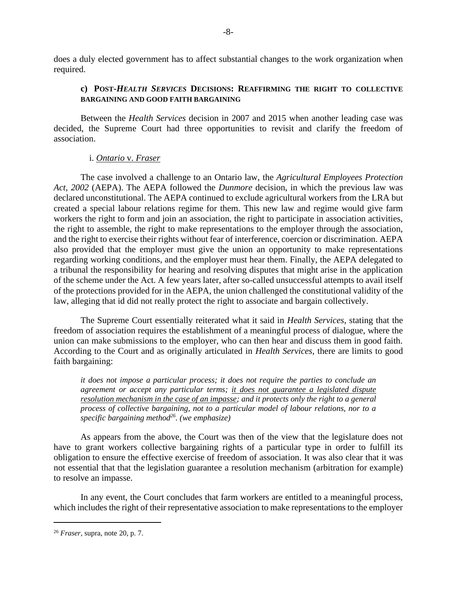does a duly elected government has to affect substantial changes to the work organization when required.

### **c) POST-***HEALTH SERVICES* **DECISIONS: REAFFIRMING THE RIGHT TO COLLECTIVE BARGAINING AND GOOD FAITH BARGAINING**

Between the *Health Services* decision in 2007 and 2015 when another leading case was decided, the Supreme Court had three opportunities to revisit and clarify the freedom of association.

#### i. *Ontario* v. *Fraser*

The case involved a challenge to an Ontario law, the *Agricultural Employees Protection Act, 2002* (AEPA). The AEPA followed the *Dunmore* decision, in which the previous law was declared unconstitutional. The AEPA continued to exclude agricultural workers from the LRA but created a special labour relations regime for them. This new law and regime would give farm workers the right to form and join an association, the right to participate in association activities, the right to assemble, the right to make representations to the employer through the association, and the right to exercise their rights without fear of interference, coercion or discrimination. AEPA also provided that the employer must give the union an opportunity to make representations regarding working conditions, and the employer must hear them. Finally, the AEPA delegated to a tribunal the responsibility for hearing and resolving disputes that might arise in the application of the scheme under the Act. A few years later, after so-called unsuccessful attempts to avail itself of the protections provided for in the AEPA, the union challenged the constitutional validity of the law, alleging that id did not really protect the right to associate and bargain collectively.

The Supreme Court essentially reiterated what it said in *Health Services*, stating that the freedom of association requires the establishment of a meaningful process of dialogue, where the union can make submissions to the employer, who can then hear and discuss them in good faith. According to the Court and as originally articulated in *Health Services*, there are limits to good faith bargaining:

*it does not impose a particular process; it does not require the parties to conclude an agreement or accept any particular terms; it does not guarantee a legislated dispute resolution mechanism in the case of an impasse; and it protects only the right to a general process of collective bargaining, not to a particular model of labour relations, nor to a specific bargaining method<sup>26</sup> . (we emphasize)*

As appears from the above, the Court was then of the view that the legislature does not have to grant workers collective bargaining rights of a particular type in order to fulfill its obligation to ensure the effective exercise of freedom of association. It was also clear that it was not essential that that the legislation guarantee a resolution mechanism (arbitration for example) to resolve an impasse.

In any event, the Court concludes that farm workers are entitled to a meaningful process, which includes the right of their representative association to make representations to the employer

<sup>26</sup> *Fraser*, supra, note 20, p. 7.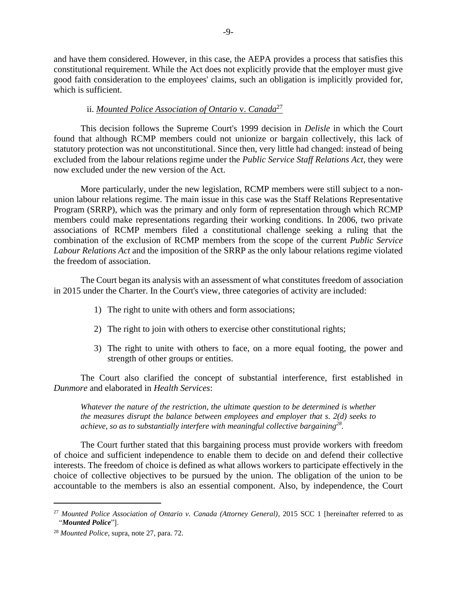and have them considered. However, in this case, the AEPA provides a process that satisfies this constitutional requirement. While the Act does not explicitly provide that the employer must give good faith consideration to the employees' claims, such an obligation is implicitly provided for, which is sufficient.

# ii. *Mounted Police Association of Ontario* v. *Canada*<sup>27</sup>

This decision follows the Supreme Court's 1999 decision in *Delisle* in which the Court found that although RCMP members could not unionize or bargain collectively, this lack of statutory protection was not unconstitutional. Since then, very little had changed: instead of being excluded from the labour relations regime under the *Public Service Staff Relations Act*, they were now excluded under the new version of the Act.

More particularly, under the new legislation, RCMP members were still subject to a nonunion labour relations regime. The main issue in this case was the Staff Relations Representative Program (SRRP), which was the primary and only form of representation through which RCMP members could make representations regarding their working conditions. In 2006, two private associations of RCMP members filed a constitutional challenge seeking a ruling that the combination of the exclusion of RCMP members from the scope of the current *Public Service Labour Relations Act* and the imposition of the SRRP as the only labour relations regime violated the freedom of association.

The Court began its analysis with an assessment of what constitutes freedom of association in 2015 under the Charter. In the Court's view, three categories of activity are included:

- 1) The right to unite with others and form associations;
- 2) The right to join with others to exercise other constitutional rights;
- 3) The right to unite with others to face, on a more equal footing, the power and strength of other groups or entities.

The Court also clarified the concept of substantial interference, first established in *Dunmore* and elaborated in *Health Services*:

*Whatever the nature of the restriction, the ultimate question to be determined is whether the measures disrupt the balance between employees and employer that s. 2(d) seeks to achieve, so as to substantially interfere with meaningful collective bargaining<sup>28</sup> .*

The Court further stated that this bargaining process must provide workers with freedom of choice and sufficient independence to enable them to decide on and defend their collective interests. The freedom of choice is defined as what allows workers to participate effectively in the choice of collective objectives to be pursued by the union. The obligation of the union to be accountable to the members is also an essential component. Also, by independence, the Court

<sup>27</sup> *Mounted Police Association of Ontario v. Canada (Attorney General)*, 2015 SCC 1 [hereinafter referred to as "*Mounted Police*"].

<sup>28</sup> *Mounted Police*, supra, note 27, para. 72.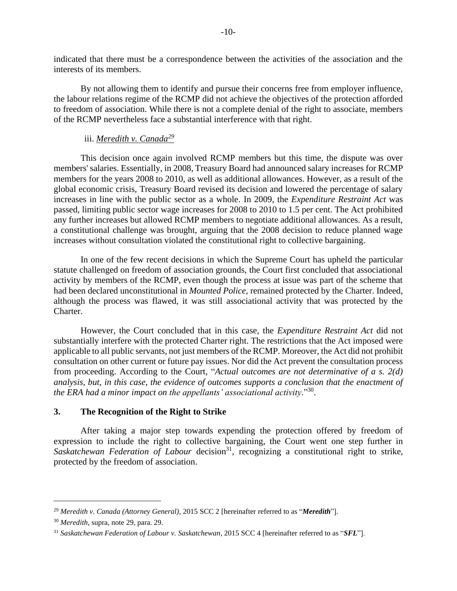indicated that there must be a correspondence between the activities of the association and the interests of its members.

By not allowing them to identify and pursue their concerns free from employer influence, the labour relations regime of the RCMP did not achieve the objectives of the protection afforded to freedom of association. While there is not a complete denial of the right to associate, members of the RCMP nevertheless face a substantial interference with that right.

### iii. *Meredith v. Canada<sup>29</sup>*

This decision once again involved RCMP members but this time, the dispute was over members' salaries. Essentially, in 2008, Treasury Board had announced salary increases for RCMP members for the years 2008 to 2010, as well as additional allowances. However, as a result of the global economic crisis, Treasury Board revised its decision and lowered the percentage of salary increases in line with the public sector as a whole. In 2009, the *Expenditure Restraint Act* was passed, limiting public sector wage increases for 2008 to 2010 to 1.5 per cent. The Act prohibited any further increases but allowed RCMP members to negotiate additional allowances. As a result, a constitutional challenge was brought, arguing that the 2008 decision to reduce planned wage increases without consultation violated the constitutional right to collective bargaining.

In one of the few recent decisions in which the Supreme Court has upheld the particular statute challenged on freedom of association grounds, the Court first concluded that associational activity by members of the RCMP, even though the process at issue was part of the scheme that had been declared unconstitutional in *Mounted Police*, remained protected by the Charter. Indeed, although the process was flawed, it was still associational activity that was protected by the Charter.

However, the Court concluded that in this case, the *Expenditure Restraint Act* did not substantially interfere with the protected Charter right. The restrictions that the Act imposed were applicable to all public servants, not just members of the RCMP. Moreover, the Act did not prohibit consultation on other current or future pay issues. Nor did the Act prevent the consultation process from proceeding. According to the Court, "*Actual outcomes are not determinative of a s. 2(d) analysis, but, in this case, the evidence of outcomes supports a conclusion that the enactment of the ERA had a minor impact on the appellants' associational activity*." 30 .

#### **3. The Recognition of the Right to Strike**

After taking a major step towards expending the protection offered by freedom of expression to include the right to collective bargaining, the Court went one step further in Saskatchewan Federation of Labour decision<sup>31</sup>, recognizing a constitutional right to strike, protected by the freedom of association.

<sup>29</sup> *Meredith v. Canada (Attorney General)*, 2015 SCC 2 [hereinafter referred to as "*Meredith*"].

<sup>30</sup> *Meredith*, supra, note 29, para. 29.

<sup>31</sup> *Saskatchewan Federation of Labour v. Saskatchewan*, 2015 SCC 4 [hereinafter referred to as "*SFL*"].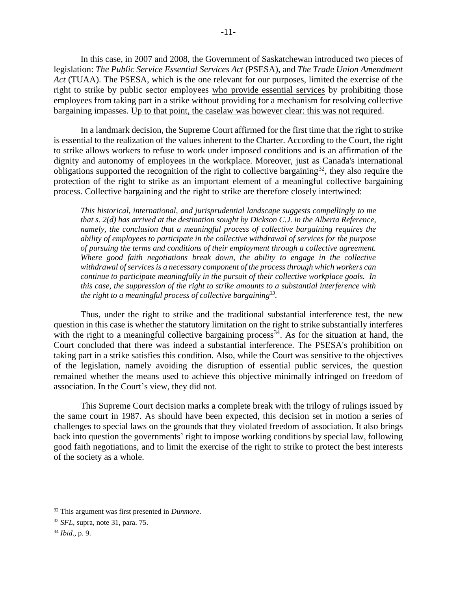In this case, in 2007 and 2008, the Government of Saskatchewan introduced two pieces of legislation: *The Public Service Essential Services Act* (PSESA), and *The Trade Union Amendment Act* (TUAA). The PSESA, which is the one relevant for our purposes, limited the exercise of the right to strike by public sector employees who provide essential services by prohibiting those employees from taking part in a strike without providing for a mechanism for resolving collective bargaining impasses. Up to that point, the caselaw was however clear: this was not required.

In a landmark decision, the Supreme Court affirmed for the first time that the right to strike is essential to the realization of the values inherent to the Charter. According to the Court, the right to strike allows workers to refuse to work under imposed conditions and is an affirmation of the dignity and autonomy of employees in the workplace. Moreover, just as Canada's international obligations supported the recognition of the right to collective bargaining<sup>32</sup>, they also require the protection of the right to strike as an important element of a meaningful collective bargaining process. Collective bargaining and the right to strike are therefore closely intertwined:

*This historical, international, and jurisprudential landscape suggests compellingly to me that s. 2(d) has arrived at the destination sought by Dickson C.J. in the Alberta Reference, namely, the conclusion that a meaningful process of collective bargaining requires the ability of employees to participate in the collective withdrawal of services for the purpose of pursuing the terms and conditions of their employment through a collective agreement. Where good faith negotiations break down, the ability to engage in the collective withdrawal of services is a necessary component of the process through which workers can continue to participate meaningfully in the pursuit of their collective workplace goals. In this case, the suppression of the right to strike amounts to a substantial interference with the right to a meaningful process of collective bargaining<sup>33</sup> .*

Thus, under the right to strike and the traditional substantial interference test, the new question in this case is whether the statutory limitation on the right to strike substantially interferes with the right to a meaningful collective bargaining process<sup>34</sup>. As for the situation at hand, the Court concluded that there was indeed a substantial interference. The PSESA's prohibition on taking part in a strike satisfies this condition. Also, while the Court was sensitive to the objectives of the legislation, namely avoiding the disruption of essential public services, the question remained whether the means used to achieve this objective minimally infringed on freedom of association. In the Court's view, they did not.

This Supreme Court decision marks a complete break with the trilogy of rulings issued by the same court in 1987. As should have been expected, this decision set in motion a series of challenges to special laws on the grounds that they violated freedom of association. It also brings back into question the governments' right to impose working conditions by special law, following good faith negotiations, and to limit the exercise of the right to strike to protect the best interests of the society as a whole.

<sup>32</sup> This argument was first presented in *Dunmore*.

<sup>33</sup> *SFL*, supra, note 31, para. 75.

<sup>34</sup> *Ibid*., p. 9.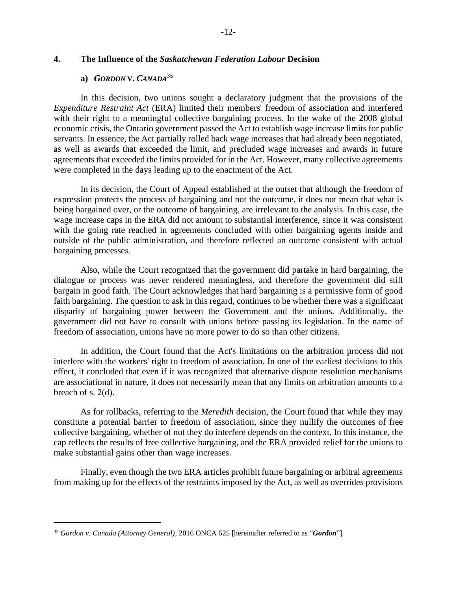## **4. The Influence of the** *Saskatchewan Federation Labour* **Decision**

#### **a)** *GORDON* **V.** *CANADA*<sup>35</sup>

In this decision, two unions sought a declaratory judgment that the provisions of the *Expenditure Restraint Act* (ERA) limited their members' freedom of association and interfered with their right to a meaningful collective bargaining process. In the wake of the 2008 global economic crisis, the Ontario government passed the Act to establish wage increase limits for public servants. In essence, the Act partially rolled back wage increases that had already been negotiated, as well as awards that exceeded the limit, and precluded wage increases and awards in future agreements that exceeded the limits provided for in the Act. However, many collective agreements were completed in the days leading up to the enactment of the Act.

In its decision, the Court of Appeal established at the outset that although the freedom of expression protects the process of bargaining and not the outcome, it does not mean that what is being bargained over, or the outcome of bargaining, are irrelevant to the analysis. In this case, the wage increase caps in the ERA did not amount to substantial interference, since it was consistent with the going rate reached in agreements concluded with other bargaining agents inside and outside of the public administration, and therefore reflected an outcome consistent with actual bargaining processes.

Also, while the Court recognized that the government did partake in hard bargaining, the dialogue or process was never rendered meaningless, and therefore the government did still bargain in good faith. The Court acknowledges that hard bargaining is a permissive form of good faith bargaining. The question to ask in this regard, continues to be whether there was a significant disparity of bargaining power between the Government and the unions. Additionally, the government did not have to consult with unions before passing its legislation. In the name of freedom of association, unions have no more power to do so than other citizens.

In addition, the Court found that the Act's limitations on the arbitration process did not interfere with the workers' right to freedom of association. In one of the earliest decisions to this effect, it concluded that even if it was recognized that alternative dispute resolution mechanisms are associational in nature, it does not necessarily mean that any limits on arbitration amounts to a breach of s. 2(d).

As for rollbacks, referring to the *Meredith* decision, the Court found that while they may constitute a potential barrier to freedom of association, since they nullify the outcomes of free collective bargaining, whether of not they do interfere depends on the context. In this instance, the cap reflects the results of free collective bargaining, and the ERA provided relief for the unions to make substantial gains other than wage increases.

Finally, even though the two ERA articles prohibit future bargaining or arbitral agreements from making up for the effects of the restraints imposed by the Act, as well as overrides provisions

<sup>35</sup> *Gordon v. Canada (Attorney General)*, 2016 ONCA 625 [hereinafter referred to as "*Gordon*"].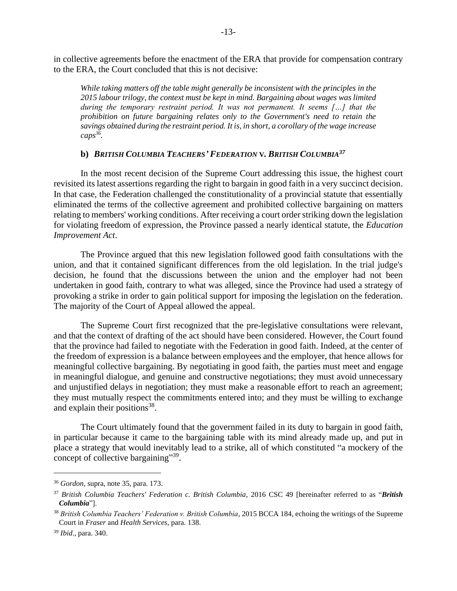in collective agreements before the enactment of the ERA that provide for compensation contrary to the ERA, the Court concluded that this is not decisive:

*While taking matters off the table might generally be inconsistent with the principles in the 2015 labour trilogy, the context must be kept in mind. Bargaining about wages was limited during the temporary restraint period. It was not permanent. It seems […] that the prohibition on future bargaining relates only to the Government's need to retain the savings obtained during the restraint period. It is, in short, a corollary of the wage increase caps<sup>36</sup> .* 

### **b)** *BRITISH COLUMBIA TEACHERS' FEDERATION* **V***. BRITISH COLUMBIA<sup>37</sup>*

In the most recent decision of the Supreme Court addressing this issue, the highest court revisited its latest assertions regarding the right to bargain in good faith in a very succinct decision. In that case, the Federation challenged the constitutionality of a provincial statute that essentially eliminated the terms of the collective agreement and prohibited collective bargaining on matters relating to members' working conditions. After receiving a court order striking down the legislation for violating freedom of expression, the Province passed a nearly identical statute, the *Education Improvement Act*.

The Province argued that this new legislation followed good faith consultations with the union, and that it contained significant differences from the old legislation. In the trial judge's decision, he found that the discussions between the union and the employer had not been undertaken in good faith, contrary to what was alleged, since the Province had used a strategy of provoking a strike in order to gain political support for imposing the legislation on the federation. The majority of the Court of Appeal allowed the appeal.

The Supreme Court first recognized that the pre-legislative consultations were relevant, and that the context of drafting of the act should have been considered. However, the Court found that the province had failed to negotiate with the Federation in good faith. Indeed, at the center of the freedom of expression is a balance between employees and the employer, that hence allows for meaningful collective bargaining. By negotiating in good faith, the parties must meet and engage in meaningful dialogue, and genuine and constructive negotiations; they must avoid unnecessary and unjustified delays in negotiation; they must make a reasonable effort to reach an agreement; they must mutually respect the commitments entered into; and they must be willing to exchange and explain their positions<sup>38</sup>.

The Court ultimately found that the government failed in its duty to bargain in good faith, in particular because it came to the bargaining table with its mind already made up, and put in place a strategy that would inevitably lead to a strike, all of which constituted "a mockery of the concept of collective bargaining"<sup>39</sup>.

<sup>36</sup> *Gordon*, supra, note 35, para. 173.

<sup>37</sup> *British Columbia Teachers' Federation c. British Columbia*, 2016 CSC 49 [hereinafter referred to as "*British Columbia*"].

<sup>38</sup> *British Columbia Teachers' Federation v. British Columbia*, 2015 BCCA 184, echoing the writings of the Supreme Court in *Fraser* and *Health Services*, para. 138.

<sup>39</sup> *Ibid*., para. 340.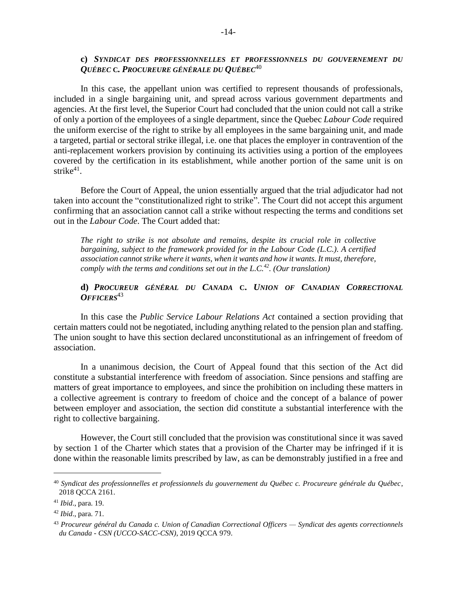### **c)** *SYNDICAT DES PROFESSIONNELLES ET PROFESSIONNELS DU GOUVERNEMENT DU QUÉBEC* **C***. PROCUREURE GÉNÉRALE DU QUÉBEC*<sup>40</sup>

In this case, the appellant union was certified to represent thousands of professionals, included in a single bargaining unit, and spread across various government departments and agencies. At the first level, the Superior Court had concluded that the union could not call a strike of only a portion of the employees of a single department, since the Quebec *Labour Code* required the uniform exercise of the right to strike by all employees in the same bargaining unit, and made a targeted, partial or sectoral strike illegal, i.e. one that places the employer in contravention of the anti-replacement workers provision by continuing its activities using a portion of the employees covered by the certification in its establishment, while another portion of the same unit is on strike<sup>41</sup>.

Before the Court of Appeal, the union essentially argued that the trial adjudicator had not taken into account the "constitutionalized right to strike". The Court did not accept this argument confirming that an association cannot call a strike without respecting the terms and conditions set out in the *Labour Code*. The Court added that:

*The right to strike is not absolute and remains, despite its crucial role in collective bargaining, subject to the framework provided for in the Labour Code (L.C.). A certified association cannot strike where it wants, when it wants and how it wants. It must, therefore, comply with the terms and conditions set out in the L.C.<sup>42</sup> . (Our translation)*

### **d)** *PROCUREUR GÉNÉRAL DU CANADA* **C.** *UNION OF CANADIAN CORRECTIONAL OFFICERS*<sup>43</sup>

In this case the *Public Service Labour Relations Act* contained a section providing that certain matters could not be negotiated, including anything related to the pension plan and staffing. The union sought to have this section declared unconstitutional as an infringement of freedom of association.

In a unanimous decision, the Court of Appeal found that this section of the Act did constitute a substantial interference with freedom of association. Since pensions and staffing are matters of great importance to employees, and since the prohibition on including these matters in a collective agreement is contrary to freedom of choice and the concept of a balance of power between employer and association, the section did constitute a substantial interference with the right to collective bargaining.

However, the Court still concluded that the provision was constitutional since it was saved by section 1 of the Charter which states that a provision of the Charter may be infringed if it is done within the reasonable limits prescribed by law, as can be demonstrably justified in a free and

<sup>40</sup> *Syndicat des professionnelles et professionnels du gouvernement du Québec c. Procureure générale du Québec*, 2018 QCCA 2161.

<sup>41</sup> *Ibid*., para. 19.

<sup>42</sup> *Ibid*., para. 71.

<sup>43</sup> *Procureur général du Canada c. Union of Canadian Correctional Officers — Syndicat des agents correctionnels du Canada - CSN (UCCO-SACC-CSN)*, 2019 QCCA 979.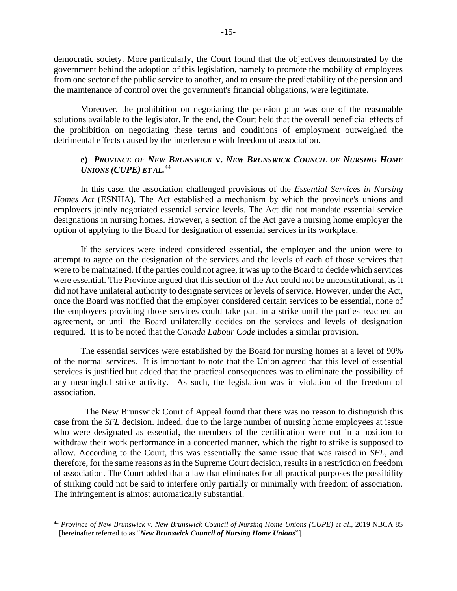democratic society. More particularly, the Court found that the objectives demonstrated by the government behind the adoption of this legislation, namely to promote the mobility of employees from one sector of the public service to another, and to ensure the predictability of the pension and the maintenance of control over the government's financial obligations, were legitimate.

Moreover, the prohibition on negotiating the pension plan was one of the reasonable solutions available to the legislator. In the end, the Court held that the overall beneficial effects of the prohibition on negotiating these terms and conditions of employment outweighed the detrimental effects caused by the interference with freedom of association.

## **e)** *PROVINCE OF NEW BRUNSWICK* **V.** *NEW BRUNSWICK COUNCIL OF NURSING HOME UNIONS (CUPE) ET AL.* 44

In this case, the association challenged provisions of the *Essential Services in Nursing Homes Act* (ESNHA). The Act established a mechanism by which the province's unions and employers jointly negotiated essential service levels. The Act did not mandate essential service designations in nursing homes. However, a section of the Act gave a nursing home employer the option of applying to the Board for designation of essential services in its workplace.

If the services were indeed considered essential, the employer and the union were to attempt to agree on the designation of the services and the levels of each of those services that were to be maintained. If the parties could not agree, it was up to the Board to decide which services were essential. The Province argued that this section of the Act could not be unconstitutional, as it did not have unilateral authority to designate services or levels of service. However, under the Act, once the Board was notified that the employer considered certain services to be essential, none of the employees providing those services could take part in a strike until the parties reached an agreement, or until the Board unilaterally decides on the services and levels of designation required. It is to be noted that the *Canada Labour Code* includes a similar provision.

The essential services were established by the Board for nursing homes at a level of 90% of the normal services. It is important to note that the Union agreed that this level of essential services is justified but added that the practical consequences was to eliminate the possibility of any meaningful strike activity. As such, the legislation was in violation of the freedom of association.

The New Brunswick Court of Appeal found that there was no reason to distinguish this case from the *SFL* decision. Indeed, due to the large number of nursing home employees at issue who were designated as essential, the members of the certification were not in a position to withdraw their work performance in a concerted manner, which the right to strike is supposed to allow. According to the Court, this was essentially the same issue that was raised in *SFL*, and therefore, for the same reasons as in the Supreme Court decision, results in a restriction on freedom of association. The Court added that a law that eliminates for all practical purposes the possibility of striking could not be said to interfere only partially or minimally with freedom of association. The infringement is almost automatically substantial.

<sup>&</sup>lt;sup>44</sup> Province of New Brunswick v. New Brunswick Council of Nursing Home Unions (CUPE) et al., 2019 NBCA 85 [hereinafter referred to as "*New Brunswick Council of Nursing Home Unions*"].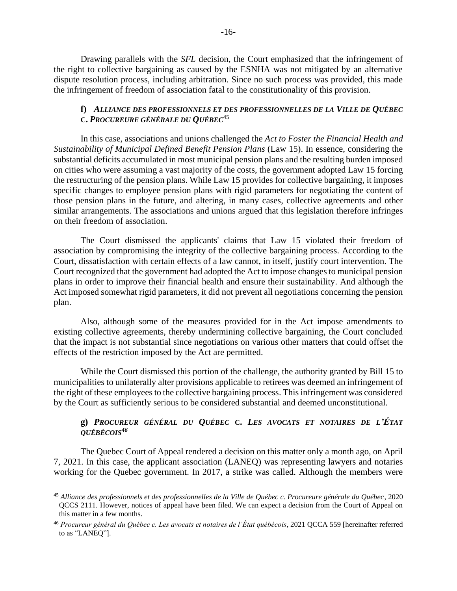Drawing parallels with the *SFL* decision, the Court emphasized that the infringement of the right to collective bargaining as caused by the ESNHA was not mitigated by an alternative dispute resolution process, including arbitration. Since no such process was provided, this made the infringement of freedom of association fatal to the constitutionality of this provision.

## **f)** *ALLIANCE DES PROFESSIONNELS ET DES PROFESSIONNELLES DE LA VILLE DE QUÉBEC*  **C.** *PROCUREURE GÉNÉRALE DU QUÉBEC*<sup>45</sup>

In this case, associations and unions challenged the *Act to Foster the Financial Health and Sustainability of Municipal Defined Benefit Pension Plans* (Law 15). In essence, considering the substantial deficits accumulated in most municipal pension plans and the resulting burden imposed on cities who were assuming a vast majority of the costs, the government adopted Law 15 forcing the restructuring of the pension plans. While Law 15 provides for collective bargaining, it imposes specific changes to employee pension plans with rigid parameters for negotiating the content of those pension plans in the future, and altering, in many cases, collective agreements and other similar arrangements. The associations and unions argued that this legislation therefore infringes on their freedom of association.

The Court dismissed the applicants' claims that Law 15 violated their freedom of association by compromising the integrity of the collective bargaining process. According to the Court, dissatisfaction with certain effects of a law cannot, in itself, justify court intervention. The Court recognized that the government had adopted the Act to impose changes to municipal pension plans in order to improve their financial health and ensure their sustainability. And although the Act imposed somewhat rigid parameters, it did not prevent all negotiations concerning the pension plan.

Also, although some of the measures provided for in the Act impose amendments to existing collective agreements, thereby undermining collective bargaining, the Court concluded that the impact is not substantial since negotiations on various other matters that could offset the effects of the restriction imposed by the Act are permitted.

While the Court dismissed this portion of the challenge, the authority granted by Bill 15 to municipalities to unilaterally alter provisions applicable to retirees was deemed an infringement of the right of these employees to the collective bargaining process. This infringement was considered by the Court as sufficiently serious to be considered substantial and deemed unconstitutional.

## **g)** *PROCUREUR GÉNÉRAL DU QUÉBEC* **C.** *LES AVOCATS ET NOTAIRES DE L'ÉTAT QUÉBÉCOIS<sup>46</sup>*

The Quebec Court of Appeal rendered a decision on this matter only a month ago, on April 7, 2021. In this case, the applicant association (LANEQ) was representing lawyers and notaries working for the Quebec government. In 2017, a strike was called. Although the members were

<sup>45</sup> *Alliance des professionnels et des professionnelles de la Ville de Québec c. Procureure générale du Québec*, 2020 QCCS 2111. However, notices of appeal have been filed. We can expect a decision from the Court of Appeal on this matter in a few months.

<sup>46</sup> *Procureur général du Québec c. Les avocats et notaires de l'État québécois*, 2021 QCCA 559 [hereinafter referred to as "LANEQ"].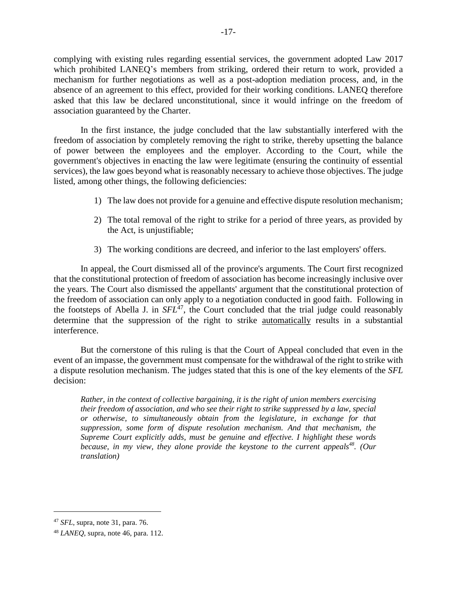complying with existing rules regarding essential services, the government adopted Law 2017 which prohibited LANEQ's members from striking, ordered their return to work, provided a mechanism for further negotiations as well as a post-adoption mediation process, and, in the absence of an agreement to this effect, provided for their working conditions. LANEQ therefore asked that this law be declared unconstitutional, since it would infringe on the freedom of association guaranteed by the Charter.

In the first instance, the judge concluded that the law substantially interfered with the freedom of association by completely removing the right to strike, thereby upsetting the balance of power between the employees and the employer. According to the Court, while the government's objectives in enacting the law were legitimate (ensuring the continuity of essential services), the law goes beyond what is reasonably necessary to achieve those objectives. The judge listed, among other things, the following deficiencies:

- 1) The law does not provide for a genuine and effective dispute resolution mechanism;
- 2) The total removal of the right to strike for a period of three years, as provided by the Act, is unjustifiable;
- 3) The working conditions are decreed, and inferior to the last employers' offers.

In appeal, the Court dismissed all of the province's arguments. The Court first recognized that the constitutional protection of freedom of association has become increasingly inclusive over the years. The Court also dismissed the appellants' argument that the constitutional protection of the freedom of association can only apply to a negotiation conducted in good faith. Following in the footsteps of Abella J. in *SFL<sup>47</sup>*, the Court concluded that the trial judge could reasonably determine that the suppression of the right to strike automatically results in a substantial interference.

But the cornerstone of this ruling is that the Court of Appeal concluded that even in the event of an impasse, the government must compensate for the withdrawal of the right to strike with a dispute resolution mechanism. The judges stated that this is one of the key elements of the *SFL* decision:

*Rather, in the context of collective bargaining, it is the right of union members exercising their freedom of association, and who see their right to strike suppressed by a law, special or otherwise, to simultaneously obtain from the legislature, in exchange for that suppression, some form of dispute resolution mechanism. And that mechanism, the Supreme Court explicitly adds, must be genuine and effective. I highlight these words because, in my view, they alone provide the keystone to the current appeals<sup>48</sup> . (Our translation)*

<sup>47</sup> *SFL*, supra, note 31, para. 76.

<sup>48</sup> *LANEQ*, supra, note 46, para. 112.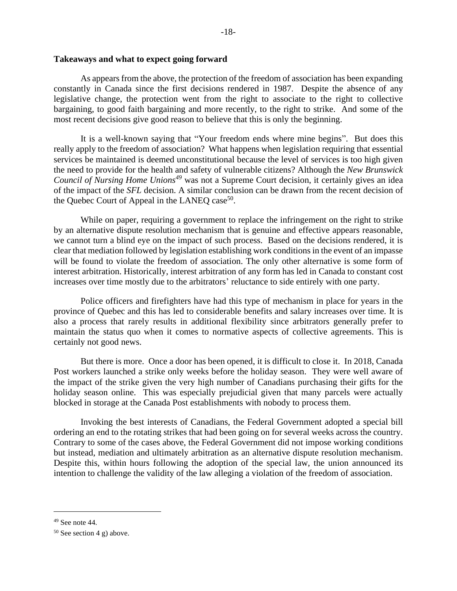As appears from the above, the protection of the freedom of association has been expanding constantly in Canada since the first decisions rendered in 1987. Despite the absence of any legislative change, the protection went from the right to associate to the right to collective bargaining, to good faith bargaining and more recently, to the right to strike. And some of the most recent decisions give good reason to believe that this is only the beginning.

It is a well-known saying that "Your freedom ends where mine begins". But does this really apply to the freedom of association? What happens when legislation requiring that essential services be maintained is deemed unconstitutional because the level of services is too high given the need to provide for the health and safety of vulnerable citizens? Although the *New Brunswick Council of Nursing Home Unions<sup>49</sup>* was not a Supreme Court decision, it certainly gives an idea of the impact of the *SFL* decision. A similar conclusion can be drawn from the recent decision of the Quebec Court of Appeal in the LANEQ case<sup>50</sup>.

While on paper, requiring a government to replace the infringement on the right to strike by an alternative dispute resolution mechanism that is genuine and effective appears reasonable, we cannot turn a blind eye on the impact of such process. Based on the decisions rendered, it is clear that mediation followed by legislation establishing work conditions in the event of an impasse will be found to violate the freedom of association. The only other alternative is some form of interest arbitration. Historically, interest arbitration of any form has led in Canada to constant cost increases over time mostly due to the arbitrators' reluctance to side entirely with one party.

Police officers and firefighters have had this type of mechanism in place for years in the province of Quebec and this has led to considerable benefits and salary increases over time. It is also a process that rarely results in additional flexibility since arbitrators generally prefer to maintain the status quo when it comes to normative aspects of collective agreements. This is certainly not good news.

But there is more. Once a door has been opened, it is difficult to close it. In 2018, Canada Post workers launched a strike only weeks before the holiday season. They were well aware of the impact of the strike given the very high number of Canadians purchasing their gifts for the holiday season online. This was especially prejudicial given that many parcels were actually blocked in storage at the Canada Post establishments with nobody to process them.

Invoking the best interests of Canadians, the Federal Government adopted a special bill ordering an end to the rotating strikes that had been going on for several weeks across the country. Contrary to some of the cases above, the Federal Government did not impose working conditions but instead, mediation and ultimately arbitration as an alternative dispute resolution mechanism. Despite this, within hours following the adoption of the special law, the union announced its intention to challenge the validity of the law alleging a violation of the freedom of association.

 $49$  See note 44.

 $50$  See section 4 g) above.